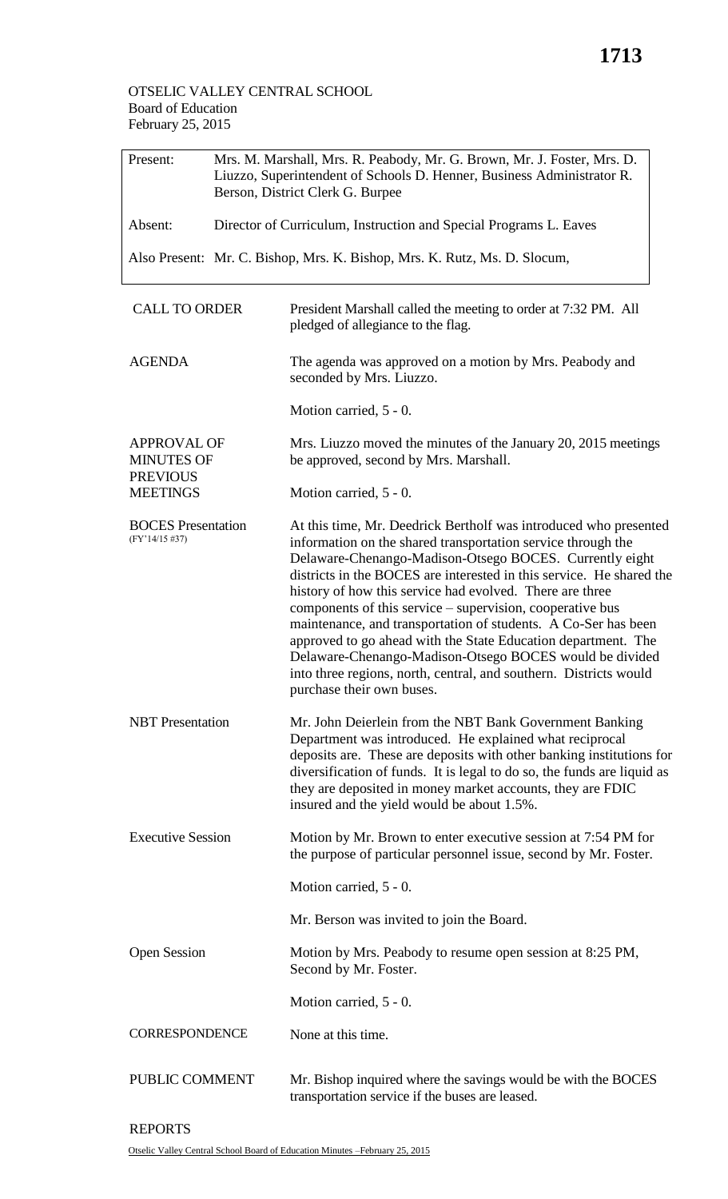| Present:                                                   | Mrs. M. Marshall, Mrs. R. Peabody, Mr. G. Brown, Mr. J. Foster, Mrs. D.<br>Liuzzo, Superintendent of Schools D. Henner, Business Administrator R.<br>Berson, District Clerk G. Burpee |                                                                                                         |  |  |  |
|------------------------------------------------------------|---------------------------------------------------------------------------------------------------------------------------------------------------------------------------------------|---------------------------------------------------------------------------------------------------------|--|--|--|
| Absent:                                                    | Director of Curriculum, Instruction and Special Programs L. Eaves                                                                                                                     |                                                                                                         |  |  |  |
|                                                            | Also Present: Mr. C. Bishop, Mrs. K. Bishop, Mrs. K. Rutz, Ms. D. Slocum,                                                                                                             |                                                                                                         |  |  |  |
| <b>CALL TO ORDER</b>                                       |                                                                                                                                                                                       | President Marshall called the meeting to order at 7:32 PM. All<br>pledged of allegiance to the flag.    |  |  |  |
| <b>AGENDA</b>                                              |                                                                                                                                                                                       | The agenda was approved on a motion by Mrs. Peabody and<br>seconded by Mrs. Liuzzo.                     |  |  |  |
|                                                            |                                                                                                                                                                                       | Motion carried, 5 - 0.                                                                                  |  |  |  |
| <b>APPROVAL OF</b><br><b>MINUTES OF</b><br><b>PREVIOUS</b> |                                                                                                                                                                                       | Mrs. Liuzzo moved the minutes of the January 20, 2015 meetings<br>be approved, second by Mrs. Marshall. |  |  |  |
| <b>MEETINGS</b>                                            |                                                                                                                                                                                       | Motion carried, 5 - 0.                                                                                  |  |  |  |

| <b>BOCES</b> Presentation<br>(FY'14/15 #37) | At this time, Mr. Deedrick Bertholf was introduced who presented<br>information on the shared transportation service through the<br>Delaware-Chenango-Madison-Otsego BOCES. Currently eight<br>districts in the BOCES are interested in this service. He shared the<br>history of how this service had evolved. There are three<br>components of this service – supervision, cooperative bus<br>maintenance, and transportation of students. A Co-Ser has been<br>approved to go ahead with the State Education department. The<br>Delaware-Chenango-Madison-Otsego BOCES would be divided<br>into three regions, north, central, and southern. Districts would<br>purchase their own buses. |
|---------------------------------------------|----------------------------------------------------------------------------------------------------------------------------------------------------------------------------------------------------------------------------------------------------------------------------------------------------------------------------------------------------------------------------------------------------------------------------------------------------------------------------------------------------------------------------------------------------------------------------------------------------------------------------------------------------------------------------------------------|
| <b>NBT</b> Presentation                     | Mr. John Deierlein from the NBT Bank Government Banking<br>Department was introduced. He evalored what regions and                                                                                                                                                                                                                                                                                                                                                                                                                                                                                                                                                                           |

- Department was introduced. He explained what reciprocal deposits are. These are deposits with other banking institutions for diversification of funds. It is legal to do so, the funds are liquid as they are deposited in money market accounts, they are FDIC insured and the yield would be about 1.5%.
- Executive Session Motion by Mr. Brown to enter executive session at 7:54 PM for the purpose of particular personnel issue, second by Mr. Foster.

Motion carried, 5 - 0.

Mr. Berson was invited to join the Board.

Open Session Motion by Mrs. Peabody to resume open session at 8:25 PM, Second by Mr. Foster.

Motion carried, 5 - 0.

**CORRESPONDENCE** None at this time.

PUBLIC COMMENT Mr. Bishop inquired where the savings would be with the BOCES transportation service if the buses are leased.

REPORTS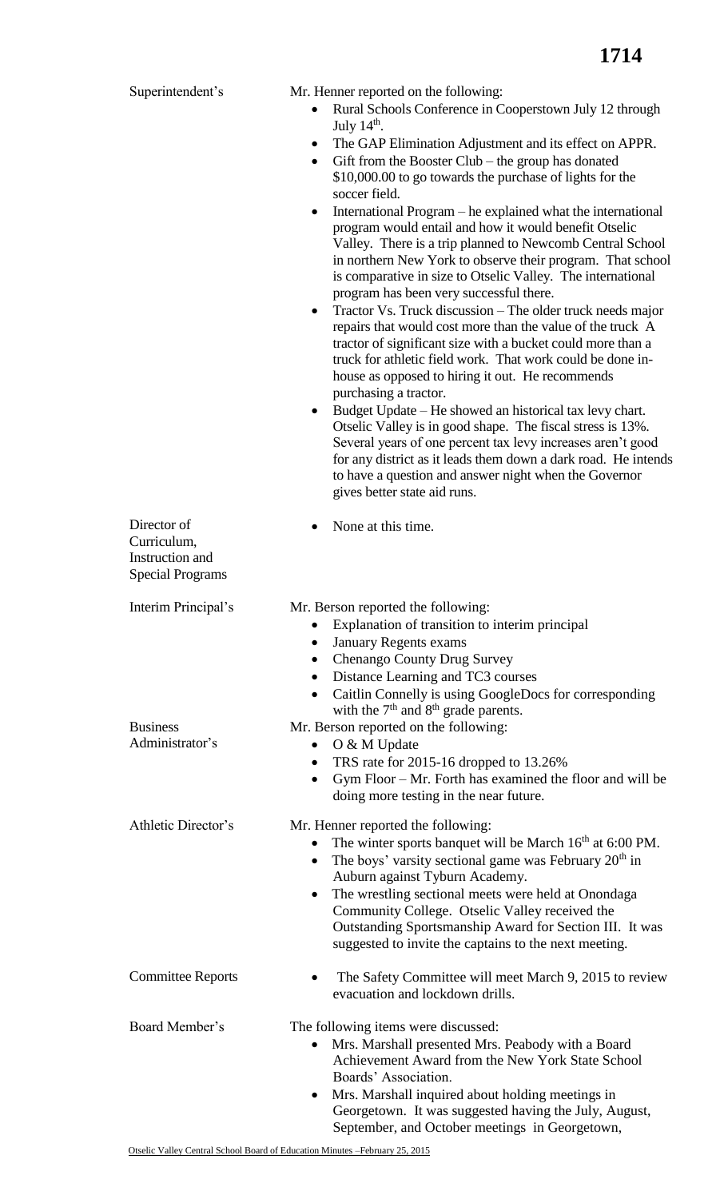| Superintendent's                                                         | Mr. Henner reported on the following:<br>Rural Schools Conference in Cooperstown July 12 through<br>$\bullet$<br>July $14th$ .<br>The GAP Elimination Adjustment and its effect on APPR.<br>$\bullet$<br>Gift from the Booster Club - the group has donated<br>$\bullet$<br>\$10,000.00 to go towards the purchase of lights for the<br>soccer field.<br>International Program – he explained what the international<br>$\bullet$<br>program would entail and how it would benefit Otselic<br>Valley. There is a trip planned to Newcomb Central School<br>in northern New York to observe their program. That school<br>is comparative in size to Otselic Valley. The international<br>program has been very successful there.<br>Tractor Vs. Truck discussion – The older truck needs major<br>$\bullet$<br>repairs that would cost more than the value of the truck A<br>tractor of significant size with a bucket could more than a<br>truck for athletic field work. That work could be done in- |
|--------------------------------------------------------------------------|-------------------------------------------------------------------------------------------------------------------------------------------------------------------------------------------------------------------------------------------------------------------------------------------------------------------------------------------------------------------------------------------------------------------------------------------------------------------------------------------------------------------------------------------------------------------------------------------------------------------------------------------------------------------------------------------------------------------------------------------------------------------------------------------------------------------------------------------------------------------------------------------------------------------------------------------------------------------------------------------------------|
|                                                                          | house as opposed to hiring it out. He recommends<br>purchasing a tractor.<br>Budget Update – He showed an historical tax levy chart.<br>$\bullet$<br>Otselic Valley is in good shape. The fiscal stress is 13%.<br>Several years of one percent tax levy increases aren't good<br>for any district as it leads them down a dark road. He intends<br>to have a question and answer night when the Governor<br>gives better state aid runs.                                                                                                                                                                                                                                                                                                                                                                                                                                                                                                                                                             |
| Director of<br>Curriculum,<br>Instruction and<br><b>Special Programs</b> | None at this time.                                                                                                                                                                                                                                                                                                                                                                                                                                                                                                                                                                                                                                                                                                                                                                                                                                                                                                                                                                                    |
| Interim Principal's                                                      | Mr. Berson reported the following:<br>Explanation of transition to interim principal<br><b>January Regents exams</b><br><b>Chenango County Drug Survey</b><br>$\bullet$<br>Distance Learning and TC3 courses<br>$\bullet$<br>Caitlin Connelly is using GoogleDocs for corresponding<br>$\bullet$<br>with the $7th$ and $8th$ grade parents.                                                                                                                                                                                                                                                                                                                                                                                                                                                                                                                                                                                                                                                           |
| <b>Business</b><br>Administrator's                                       | Mr. Berson reported on the following:<br>O & M Update<br>$\bullet$<br>TRS rate for 2015-16 dropped to 13.26%<br>$\bullet$<br>Gym Floor $-Mr$ . Forth has examined the floor and will be<br>$\bullet$<br>doing more testing in the near future.                                                                                                                                                                                                                                                                                                                                                                                                                                                                                                                                                                                                                                                                                                                                                        |
| Athletic Director's                                                      | Mr. Henner reported the following:<br>The winter sports banquet will be March $16th$ at 6:00 PM.<br>٠<br>The boys' varsity sectional game was February $20th$ in<br>$\bullet$<br>Auburn against Tyburn Academy.<br>The wrestling sectional meets were held at Onondaga<br>$\bullet$<br>Community College. Otselic Valley received the<br>Outstanding Sportsmanship Award for Section III. It was<br>suggested to invite the captains to the next meeting.                                                                                                                                                                                                                                                                                                                                                                                                                                                                                                                                             |
| <b>Committee Reports</b>                                                 | The Safety Committee will meet March 9, 2015 to review<br>evacuation and lockdown drills.                                                                                                                                                                                                                                                                                                                                                                                                                                                                                                                                                                                                                                                                                                                                                                                                                                                                                                             |
| Board Member's                                                           | The following items were discussed:<br>Mrs. Marshall presented Mrs. Peabody with a Board<br>$\bullet$<br>Achievement Award from the New York State School<br>Boards' Association.<br>Mrs. Marshall inquired about holding meetings in<br>$\bullet$                                                                                                                                                                                                                                                                                                                                                                                                                                                                                                                                                                                                                                                                                                                                                    |

Georgetown. It was suggested having the July, August, September, and October meetings in Georgetown,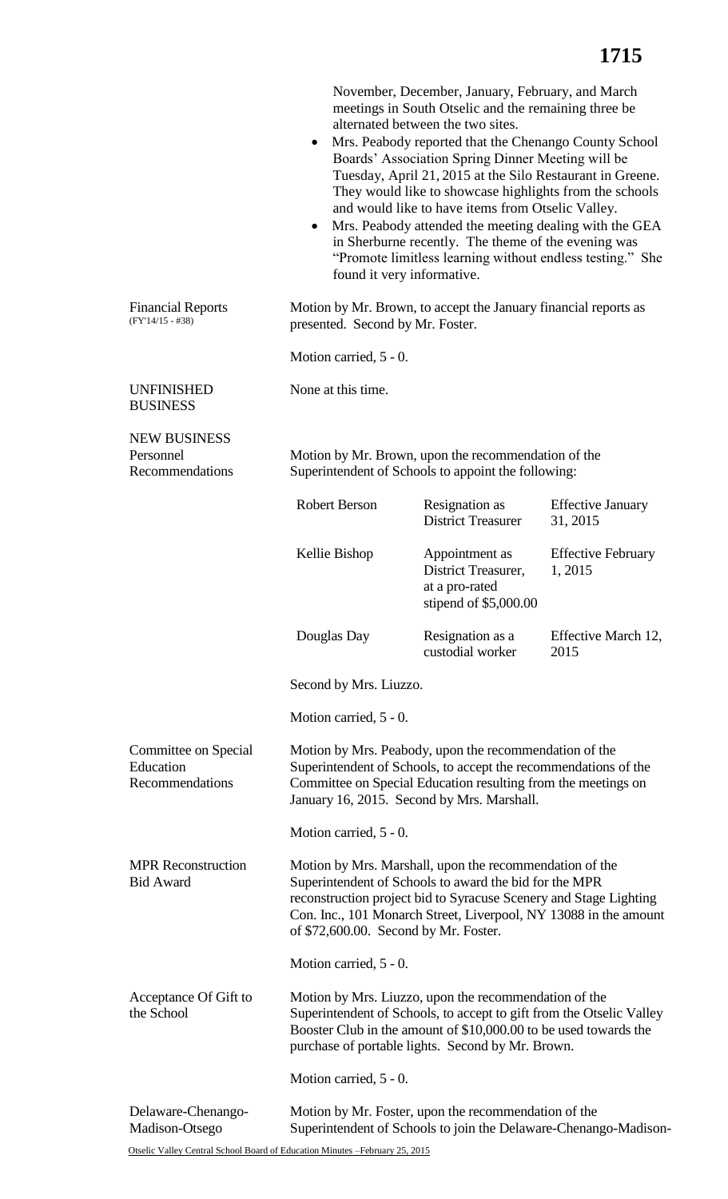|                                                                                                                                                                                                                                                                                               | ٠<br>$\bullet$<br>found it very informative.                                                                                                                                                                                                                                                        | November, December, January, February, and March<br>meetings in South Otselic and the remaining three be<br>alternated between the two sites.<br>Mrs. Peabody reported that the Chenango County School<br>Boards' Association Spring Dinner Meeting will be<br>Tuesday, April 21, 2015 at the Silo Restaurant in Greene.<br>They would like to showcase highlights from the schools<br>and would like to have items from Otselic Valley.<br>Mrs. Peabody attended the meeting dealing with the GEA<br>in Sherburne recently. The theme of the evening was<br>"Promote limitless learning without endless testing." She |                                      |  |  |
|-----------------------------------------------------------------------------------------------------------------------------------------------------------------------------------------------------------------------------------------------------------------------------------------------|-----------------------------------------------------------------------------------------------------------------------------------------------------------------------------------------------------------------------------------------------------------------------------------------------------|------------------------------------------------------------------------------------------------------------------------------------------------------------------------------------------------------------------------------------------------------------------------------------------------------------------------------------------------------------------------------------------------------------------------------------------------------------------------------------------------------------------------------------------------------------------------------------------------------------------------|--------------------------------------|--|--|
| <b>Financial Reports</b><br>$(FY'14/15 - #38)$                                                                                                                                                                                                                                                | Motion by Mr. Brown, to accept the January financial reports as<br>presented. Second by Mr. Foster.                                                                                                                                                                                                 |                                                                                                                                                                                                                                                                                                                                                                                                                                                                                                                                                                                                                        |                                      |  |  |
|                                                                                                                                                                                                                                                                                               | Motion carried, 5 - 0.                                                                                                                                                                                                                                                                              |                                                                                                                                                                                                                                                                                                                                                                                                                                                                                                                                                                                                                        |                                      |  |  |
| <b>UNFINISHED</b><br><b>BUSINESS</b>                                                                                                                                                                                                                                                          | None at this time.                                                                                                                                                                                                                                                                                  |                                                                                                                                                                                                                                                                                                                                                                                                                                                                                                                                                                                                                        |                                      |  |  |
| <b>NEW BUSINESS</b><br>Personnel<br>Recommendations                                                                                                                                                                                                                                           | Motion by Mr. Brown, upon the recommendation of the<br>Superintendent of Schools to appoint the following:                                                                                                                                                                                          |                                                                                                                                                                                                                                                                                                                                                                                                                                                                                                                                                                                                                        |                                      |  |  |
|                                                                                                                                                                                                                                                                                               | <b>Robert Berson</b>                                                                                                                                                                                                                                                                                | Resignation as<br><b>District Treasurer</b>                                                                                                                                                                                                                                                                                                                                                                                                                                                                                                                                                                            | <b>Effective January</b><br>31, 2015 |  |  |
|                                                                                                                                                                                                                                                                                               | Kellie Bishop                                                                                                                                                                                                                                                                                       | Appointment as<br>District Treasurer,<br>at a pro-rated<br>stipend of $$5,000.00$                                                                                                                                                                                                                                                                                                                                                                                                                                                                                                                                      | <b>Effective February</b><br>1, 2015 |  |  |
|                                                                                                                                                                                                                                                                                               | Douglas Day                                                                                                                                                                                                                                                                                         | Resignation as a<br>custodial worker                                                                                                                                                                                                                                                                                                                                                                                                                                                                                                                                                                                   | Effective March 12,<br>2015          |  |  |
|                                                                                                                                                                                                                                                                                               | Second by Mrs. Liuzzo.                                                                                                                                                                                                                                                                              |                                                                                                                                                                                                                                                                                                                                                                                                                                                                                                                                                                                                                        |                                      |  |  |
|                                                                                                                                                                                                                                                                                               | Motion carried, 5 - 0.                                                                                                                                                                                                                                                                              |                                                                                                                                                                                                                                                                                                                                                                                                                                                                                                                                                                                                                        |                                      |  |  |
| Committee on Special<br>Education<br>Recommendations                                                                                                                                                                                                                                          | Motion by Mrs. Peabody, upon the recommendation of the<br>Superintendent of Schools, to accept the recommendations of the<br>Committee on Special Education resulting from the meetings on<br>January 16, 2015. Second by Mrs. Marshall.                                                            |                                                                                                                                                                                                                                                                                                                                                                                                                                                                                                                                                                                                                        |                                      |  |  |
|                                                                                                                                                                                                                                                                                               | Motion carried, 5 - 0.                                                                                                                                                                                                                                                                              |                                                                                                                                                                                                                                                                                                                                                                                                                                                                                                                                                                                                                        |                                      |  |  |
| <b>MPR</b> Reconstruction<br><b>Bid Award</b>                                                                                                                                                                                                                                                 | Motion by Mrs. Marshall, upon the recommendation of the<br>Superintendent of Schools to award the bid for the MPR<br>reconstruction project bid to Syracuse Scenery and Stage Lighting<br>Con. Inc., 101 Monarch Street, Liverpool, NY 13088 in the amount<br>of \$72,600.00. Second by Mr. Foster. |                                                                                                                                                                                                                                                                                                                                                                                                                                                                                                                                                                                                                        |                                      |  |  |
|                                                                                                                                                                                                                                                                                               | Motion carried, 5 - 0.                                                                                                                                                                                                                                                                              |                                                                                                                                                                                                                                                                                                                                                                                                                                                                                                                                                                                                                        |                                      |  |  |
| Acceptance Of Gift to<br>Motion by Mrs. Liuzzo, upon the recommendation of the<br>the School<br>Superintendent of Schools, to accept to gift from the Otselic Valley<br>Booster Club in the amount of \$10,000.00 to be used towards the<br>purchase of portable lights. Second by Mr. Brown. |                                                                                                                                                                                                                                                                                                     |                                                                                                                                                                                                                                                                                                                                                                                                                                                                                                                                                                                                                        |                                      |  |  |
|                                                                                                                                                                                                                                                                                               | Motion carried, 5 - 0.                                                                                                                                                                                                                                                                              |                                                                                                                                                                                                                                                                                                                                                                                                                                                                                                                                                                                                                        |                                      |  |  |
| Motion by Mr. Foster, upon the recommendation of the<br>Delaware-Chenango-<br>Madison-Otsego<br>Superintendent of Schools to join the Delaware-Chenango-Madison-                                                                                                                              |                                                                                                                                                                                                                                                                                                     |                                                                                                                                                                                                                                                                                                                                                                                                                                                                                                                                                                                                                        |                                      |  |  |